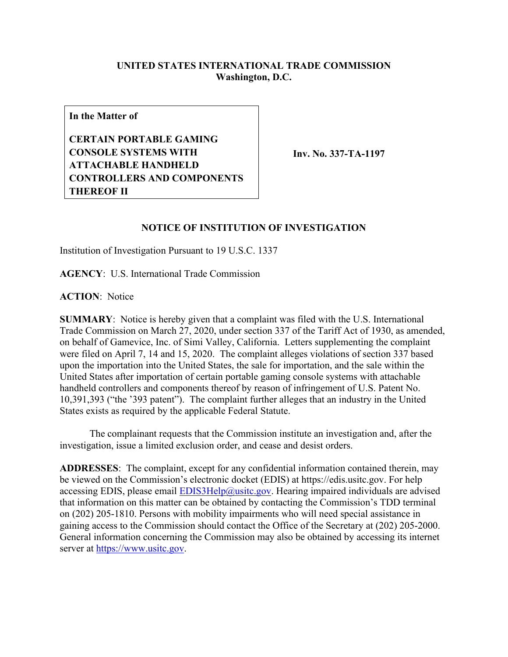## **UNITED STATES INTERNATIONAL TRADE COMMISSION Washington, D.C.**

**In the Matter of**

**CERTAIN PORTABLE GAMING CONSOLE SYSTEMS WITH ATTACHABLE HANDHELD CONTROLLERS AND COMPONENTS THEREOF II**

**Inv. No. 337-TA-1197**

## **NOTICE OF INSTITUTION OF INVESTIGATION**

Institution of Investigation Pursuant to 19 U.S.C. 1337

**AGENCY**: U.S. International Trade Commission

**ACTION**: Notice

**SUMMARY**: Notice is hereby given that a complaint was filed with the U.S. International Trade Commission on March 27, 2020, under section 337 of the Tariff Act of 1930, as amended, on behalf of Gamevice, Inc. of Simi Valley, California. Letters supplementing the complaint were filed on April 7, 14 and 15, 2020. The complaint alleges violations of section 337 based upon the importation into the United States, the sale for importation, and the sale within the United States after importation of certain portable gaming console systems with attachable handheld controllers and components thereof by reason of infringement of U.S. Patent No. 10,391,393 ("the '393 patent"). The complaint further alleges that an industry in the United States exists as required by the applicable Federal Statute.

The complainant requests that the Commission institute an investigation and, after the investigation, issue a limited exclusion order, and cease and desist orders.

**ADDRESSES**: The complaint, except for any confidential information contained therein, may be viewed on the Commission's electronic docket (EDIS) at https://edis.usitc.gov. For help accessing EDIS, please email  $EDIS3Help@ustc.gov$ . Hearing impaired individuals are advised that information on this matter can be obtained by contacting the Commission's TDD terminal on (202) 205-1810. Persons with mobility impairments who will need special assistance in gaining access to the Commission should contact the Office of the Secretary at (202) 205-2000. General information concerning the Commission may also be obtained by accessing its internet server at [https://www.usitc.gov.](https://www.usitc.gov/)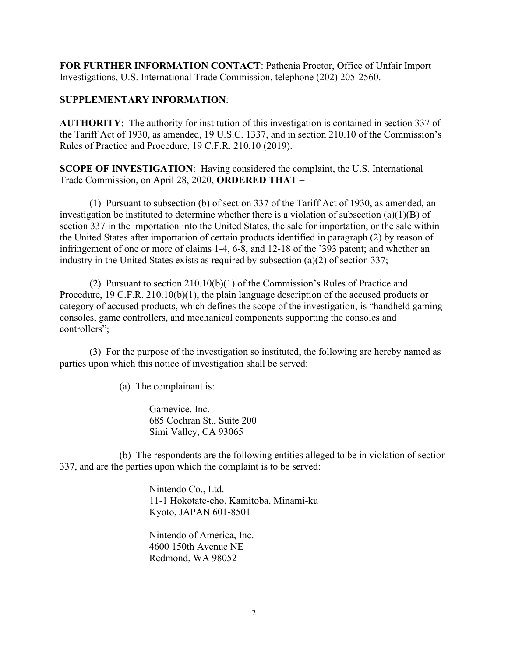**FOR FURTHER INFORMATION CONTACT**: Pathenia Proctor, Office of Unfair Import Investigations, U.S. International Trade Commission, telephone (202) 205-2560.

## **SUPPLEMENTARY INFORMATION**:

**AUTHORITY**: The authority for institution of this investigation is contained in section 337 of the Tariff Act of 1930, as amended, 19 U.S.C. 1337, and in section 210.10 of the Commission's Rules of Practice and Procedure, 19 C.F.R. 210.10 (2019).

**SCOPE OF INVESTIGATION**: Having considered the complaint, the U.S. International Trade Commission, on April 28, 2020, **ORDERED THAT** –

(1) Pursuant to subsection (b) of section 337 of the Tariff Act of 1930, as amended, an investigation be instituted to determine whether there is a violation of subsection (a)(1)(B) of section 337 in the importation into the United States, the sale for importation, or the sale within the United States after importation of certain products identified in paragraph (2) by reason of infringement of one or more of claims 1-4, 6-8, and 12-18 of the '393 patent; and whether an industry in the United States exists as required by subsection (a)(2) of section 337;

(2) Pursuant to section 210.10(b)(1) of the Commission's Rules of Practice and Procedure, 19 C.F.R. 210.10(b)(1), the plain language description of the accused products or category of accused products, which defines the scope of the investigation, is "handheld gaming consoles, game controllers, and mechanical components supporting the consoles and controllers";

(3) For the purpose of the investigation so instituted, the following are hereby named as parties upon which this notice of investigation shall be served:

(a) The complainant is:

Gamevice, Inc. 685 Cochran St., Suite 200 Simi Valley, CA 93065

(b) The respondents are the following entities alleged to be in violation of section 337, and are the parties upon which the complaint is to be served:

> Nintendo Co., Ltd. 11-1 Hokotate-cho, Kamitoba, Minami-ku Kyoto, JAPAN 601-8501

Nintendo of America, Inc. 4600 150th Avenue NE Redmond, WA 98052